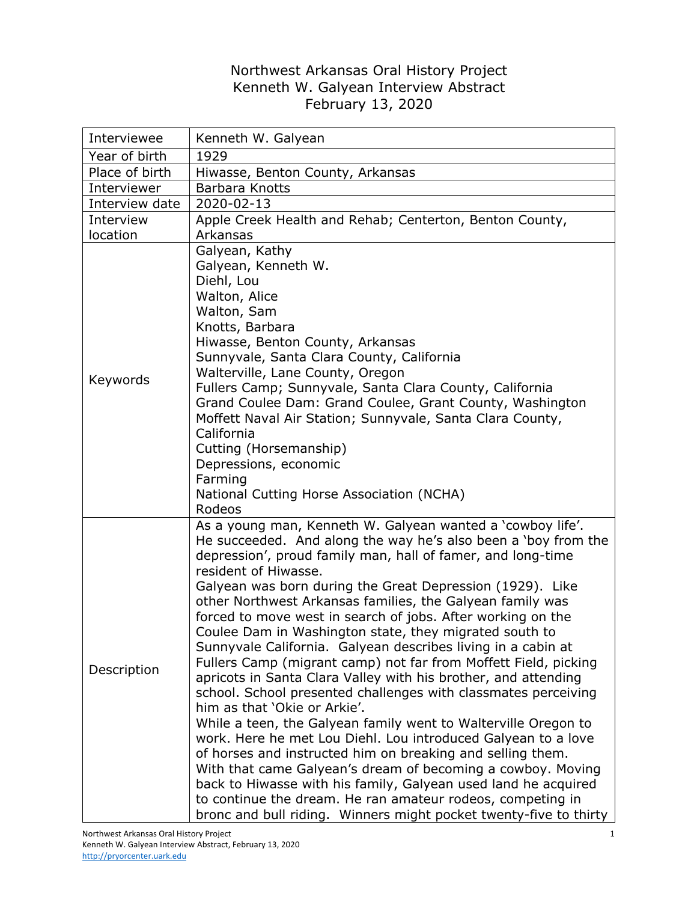## Northwest Arkansas Oral History Project Kenneth W. Galyean Interview Abstract February 13, 2020

| Interviewee    | Kenneth W. Galyean                                                                                                                                                                                                                                                                                                                                                                                                                                                                                                                                                                                                                                                                                                                                                                                                                                                                                                                                                                                                                                                                                                                                                                                                                                 |
|----------------|----------------------------------------------------------------------------------------------------------------------------------------------------------------------------------------------------------------------------------------------------------------------------------------------------------------------------------------------------------------------------------------------------------------------------------------------------------------------------------------------------------------------------------------------------------------------------------------------------------------------------------------------------------------------------------------------------------------------------------------------------------------------------------------------------------------------------------------------------------------------------------------------------------------------------------------------------------------------------------------------------------------------------------------------------------------------------------------------------------------------------------------------------------------------------------------------------------------------------------------------------|
| Year of birth  | 1929                                                                                                                                                                                                                                                                                                                                                                                                                                                                                                                                                                                                                                                                                                                                                                                                                                                                                                                                                                                                                                                                                                                                                                                                                                               |
| Place of birth | Hiwasse, Benton County, Arkansas                                                                                                                                                                                                                                                                                                                                                                                                                                                                                                                                                                                                                                                                                                                                                                                                                                                                                                                                                                                                                                                                                                                                                                                                                   |
| Interviewer    | Barbara Knotts                                                                                                                                                                                                                                                                                                                                                                                                                                                                                                                                                                                                                                                                                                                                                                                                                                                                                                                                                                                                                                                                                                                                                                                                                                     |
| Interview date | 2020-02-13                                                                                                                                                                                                                                                                                                                                                                                                                                                                                                                                                                                                                                                                                                                                                                                                                                                                                                                                                                                                                                                                                                                                                                                                                                         |
| Interview      | Apple Creek Health and Rehab; Centerton, Benton County,                                                                                                                                                                                                                                                                                                                                                                                                                                                                                                                                                                                                                                                                                                                                                                                                                                                                                                                                                                                                                                                                                                                                                                                            |
| location       | Arkansas                                                                                                                                                                                                                                                                                                                                                                                                                                                                                                                                                                                                                                                                                                                                                                                                                                                                                                                                                                                                                                                                                                                                                                                                                                           |
| Keywords       | Galyean, Kathy<br>Galyean, Kenneth W.<br>Diehl, Lou<br>Walton, Alice<br>Walton, Sam<br>Knotts, Barbara<br>Hiwasse, Benton County, Arkansas<br>Sunnyvale, Santa Clara County, California<br>Walterville, Lane County, Oregon<br>Fullers Camp; Sunnyvale, Santa Clara County, California<br>Grand Coulee Dam: Grand Coulee, Grant County, Washington<br>Moffett Naval Air Station; Sunnyvale, Santa Clara County,<br>California<br>Cutting (Horsemanship)<br>Depressions, economic<br>Farming<br>National Cutting Horse Association (NCHA)<br>Rodeos                                                                                                                                                                                                                                                                                                                                                                                                                                                                                                                                                                                                                                                                                                 |
| Description    | As a young man, Kenneth W. Galyean wanted a 'cowboy life'.<br>He succeeded. And along the way he's also been a 'boy from the<br>depression', proud family man, hall of famer, and long-time<br>resident of Hiwasse.<br>Galyean was born during the Great Depression (1929). Like<br>other Northwest Arkansas families, the Galyean family was<br>forced to move west in search of jobs. After working on the<br>Coulee Dam in Washington state, they migrated south to<br>Sunnyvale California. Galyean describes living in a cabin at<br>Fullers Camp (migrant camp) not far from Moffett Field, picking<br>apricots in Santa Clara Valley with his brother, and attending<br>school. School presented challenges with classmates perceiving<br>him as that 'Okie or Arkie'.<br>While a teen, the Galyean family went to Walterville Oregon to<br>work. Here he met Lou Diehl. Lou introduced Galyean to a love<br>of horses and instructed him on breaking and selling them.<br>With that came Galyean's dream of becoming a cowboy. Moving<br>back to Hiwasse with his family, Galyean used land he acquired<br>to continue the dream. He ran amateur rodeos, competing in<br>bronc and bull riding. Winners might pocket twenty-five to thirty |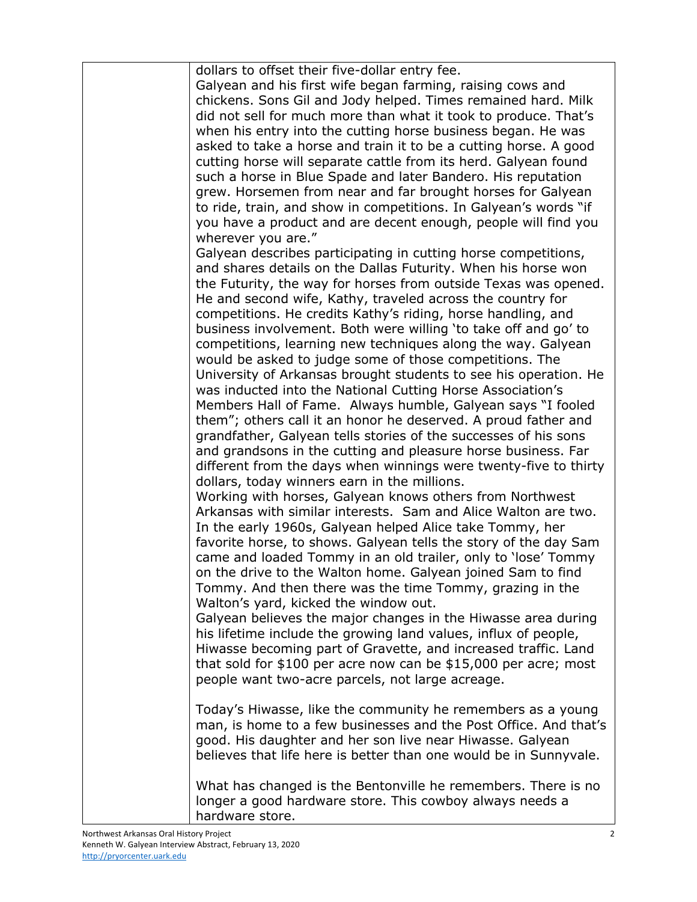| dollars to offset their five-dollar entry fee.                    |
|-------------------------------------------------------------------|
| Galyean and his first wife began farming, raising cows and        |
| chickens. Sons Gil and Jody helped. Times remained hard. Milk     |
| did not sell for much more than what it took to produce. That's   |
| when his entry into the cutting horse business began. He was      |
| asked to take a horse and train it to be a cutting horse. A good  |
| cutting horse will separate cattle from its herd. Galyean found   |
| such a horse in Blue Spade and later Bandero. His reputation      |
| grew. Horsemen from near and far brought horses for Galyean       |
| to ride, train, and show in competitions. In Galyean's words "if  |
| you have a product and are decent enough, people will find you    |
| wherever you are."                                                |
| Galyean describes participating in cutting horse competitions,    |
| and shares details on the Dallas Futurity. When his horse won     |
| the Futurity, the way for horses from outside Texas was opened.   |
| He and second wife, Kathy, traveled across the country for        |
| competitions. He credits Kathy's riding, horse handling, and      |
| business involvement. Both were willing 'to take off and go' to   |
| competitions, learning new techniques along the way. Galyean      |
|                                                                   |
| would be asked to judge some of those competitions. The           |
| University of Arkansas brought students to see his operation. He  |
| was inducted into the National Cutting Horse Association's        |
| Members Hall of Fame. Always humble, Galyean says "I fooled       |
| them"; others call it an honor he deserved. A proud father and    |
| grandfather, Galyean tells stories of the successes of his sons   |
| and grandsons in the cutting and pleasure horse business. Far     |
| different from the days when winnings were twenty-five to thirty  |
| dollars, today winners earn in the millions.                      |
| Working with horses, Galyean knows others from Northwest          |
| Arkansas with similar interests. Sam and Alice Walton are two.    |
| In the early 1960s, Galyean helped Alice take Tommy, her          |
| favorite horse, to shows. Galyean tells the story of the day Sam  |
| came and loaded Tommy in an old trailer, only to 'lose' Tommy     |
| on the drive to the Walton home. Galyean joined Sam to find       |
| Tommy. And then there was the time Tommy, grazing in the          |
| Walton's yard, kicked the window out.                             |
| Galyean believes the major changes in the Hiwasse area during     |
| his lifetime include the growing land values, influx of people,   |
| Hiwasse becoming part of Gravette, and increased traffic. Land    |
| that sold for \$100 per acre now can be \$15,000 per acre; most   |
| people want two-acre parcels, not large acreage.                  |
|                                                                   |
| Today's Hiwasse, like the community he remembers as a young       |
| man, is home to a few businesses and the Post Office. And that's  |
| good. His daughter and her son live near Hiwasse. Galyean         |
| believes that life here is better than one would be in Sunnyvale. |
|                                                                   |
| What has changed is the Bentonville he remembers. There is no     |
| longer a good hardware store. This cowboy always needs a          |
| hardware store.                                                   |